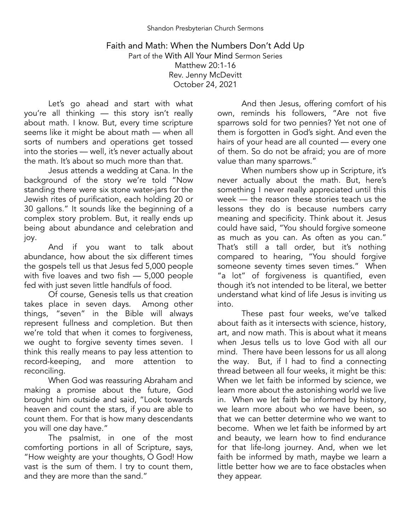## Faith and Math: When the Numbers Don't Add Up Part of the With All Your Mind Sermon Series Matthew 20:1-16 Rev. Jenny McDevitt October 24, 2021

Let's go ahead and start with what you're all thinking — this story isn't really about math. I know. But, every time scripture seems like it might be about math — when all sorts of numbers and operations get tossed into the stories — well, it's never actually about the math. It's about so much more than that.

Jesus attends a wedding at Cana. In the background of the story we're told "Now standing there were six stone water-jars for the Jewish rites of purification, each holding 20 or 30 gallons." It sounds like the beginning of a complex story problem. But, it really ends up being about abundance and celebration and joy.

And if you want to talk about abundance, how about the six different times the gospels tell us that Jesus fed 5,000 people with five loaves and two fish - 5,000 people fed with just seven little handfuls of food.

Of course, Genesis tells us that creation takes place in seven days. Among other things, "seven" in the Bible will always represent fullness and completion. But then we're told that when it comes to forgiveness, we ought to forgive seventy times seven. I think this really means to pay less attention to<br>record-keeping, and more attention to and more attention to reconciling.

When God was reassuring Abraham and making a promise about the future, God brought him outside and said, "Look towards heaven and count the stars, if you are able to count them. For that is how many descendants you will one day have."

The psalmist, in one of the most comforting portions in all of Scripture, says, "How weighty are your thoughts,  $\dot{\mathsf{O}}$  God! How vast is the sum of them. I try to count them, and they are more than the sand."

And then Jesus, offering comfort of his own, reminds his followers, "Are not five sparrows sold for two pennies? Yet not one of them is forgotten in God's sight. And even the hairs of your head are all counted — every one of them. So do not be afraid; you are of more value than many sparrows."

When numbers show up in Scripture, it's never actually about the math. But, here's something I never really appreciated until this week — the reason these stories teach us the lessons they do is because numbers carry meaning and specificity. Think about it. Jesus could have said, "You should forgive someone as much as you can. As often as you can." That's still a tall order, but it's nothing compared to hearing, "You should forgive someone seventy times seven times." When "a lot" of forgiveness is quantified, even though it's not intended to be literal, we better understand what kind of life Jesus is inviting us into.

These past four weeks, we've talked about faith as it intersects with science, history, art, and now math. This is about what it means when Jesus tells us to love God with all our mind. There have been lessons for us all along the way. But, if I had to find a connecting thread between all four weeks, it might be this: When we let faith be informed by science, we learn more about the astonishing world we live in. When we let faith be informed by history, we learn more about who we have been, so that we can better determine who we want to become. When we let faith be informed by art and beauty, we learn how to find endurance for that life-long journey. And, when we let faith be informed by math, maybe we learn a little better how we are to face obstacles when they appear.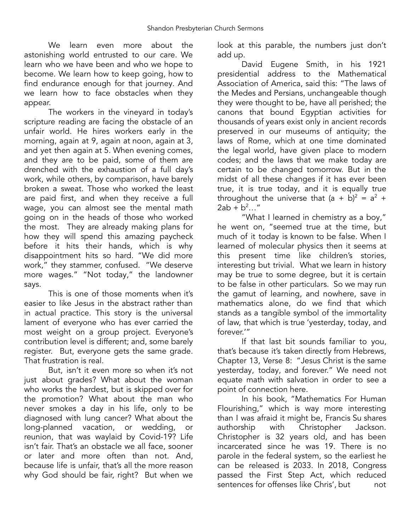We learn even more about the astonishing world entrusted to our care. We learn who we have been and who we hope to become. We learn how to keep going, how to find endurance enough for that journey. And we learn how to face obstacles when they appear.

The workers in the vineyard in today's scripture reading are facing the obstacle of an unfair world. He hires workers early in the morning, again at 9, again at noon, again at 3, and yet then again at 5. When evening comes, and they are to be paid, some of them are drenched with the exhaustion of a full day's work, while others, by comparison, have barely broken a sweat. Those who worked the least are paid first, and when they receive a full wage, you can almost see the mental math going on in the heads of those who worked the most. They are already making plans for how they will spend this amazing paycheck before it hits their hands, which is why disappointment hits so hard. "We did more work," they stammer, confused. "We deserve more wages." "Not today," the landowner says.

This is one of those moments when it's easier to like Jesus in the abstract rather than in actual practice. This story is the universal lament of everyone who has ever carried the most weight on a group project. Everyone's contribution level is different; and, some barely register. But, everyone gets the same grade. That frustration is real.

But, isn't it even more so when it's not just about grades? What about the woman who works the hardest, but is skipped over for the promotion? What about the man who never smokes a day in his life, only to be diagnosed with lung cancer? What about the long-planned vacation, or wedding, or reunion, that was waylaid by Covid-19? Life isn't fair. That's an obstacle we all face, sooner or later and more often than not. And, because life is unfair, that's all the more reason why God should be fair, right? But when we

look at this parable, the numbers just don't add up.

David Eugene Smith, in his 1921 presidential address to the Mathematical Association of America, said this: "The laws of the Medes and Persians, unchangeable though they were thought to be, have all perished; the canons that bound Egyptian activities for thousands of years exist only in ancient records preserved in our museums of antiquity; the laws of Rome, which at one time dominated the legal world, have given place to modern codes; and the laws that we make today are certain to be changed tomorrow. But in the midst of all these changes if it has ever been true, it is true today, and it is equally true throughout the universe that  $(a + b)^2 = a^2 + b$  $2ab + b^2...$ "

"What I learned in chemistry as a boy," he went on, "seemed true at the time, but much of it today is known to be false. When I learned of molecular physics then it seems at this present time like children's stories, interesting but trivial. What we learn in history may be true to some degree, but it is certain to be false in other particulars. So we may run the gamut of learning, and nowhere, save in mathematics alone, do we find that which stands as a tangible symbol of the immortality of law, that which is true 'yesterday, today, and forever.'"

If that last bit sounds familiar to you, that's because it's taken directly from Hebrews, Chapter 13, Verse 8: "Jesus Christ is the same yesterday, today, and forever." We need not equate math with salvation in order to see a point of connection here.

In his book, "Mathematics For Human Flourishing," which is way more interesting than I was afraid it might be, Francis Su shares<br>authorship with Christopher Jackson. with Christopher Jackson. Christopher is 32 years old, and has been incarcerated since he was 19. There is no parole in the federal system, so the earliest he can be released is 2033. In 2018, Congress passed the First Step Act, which reduced sentences for offenses like Chris', but not